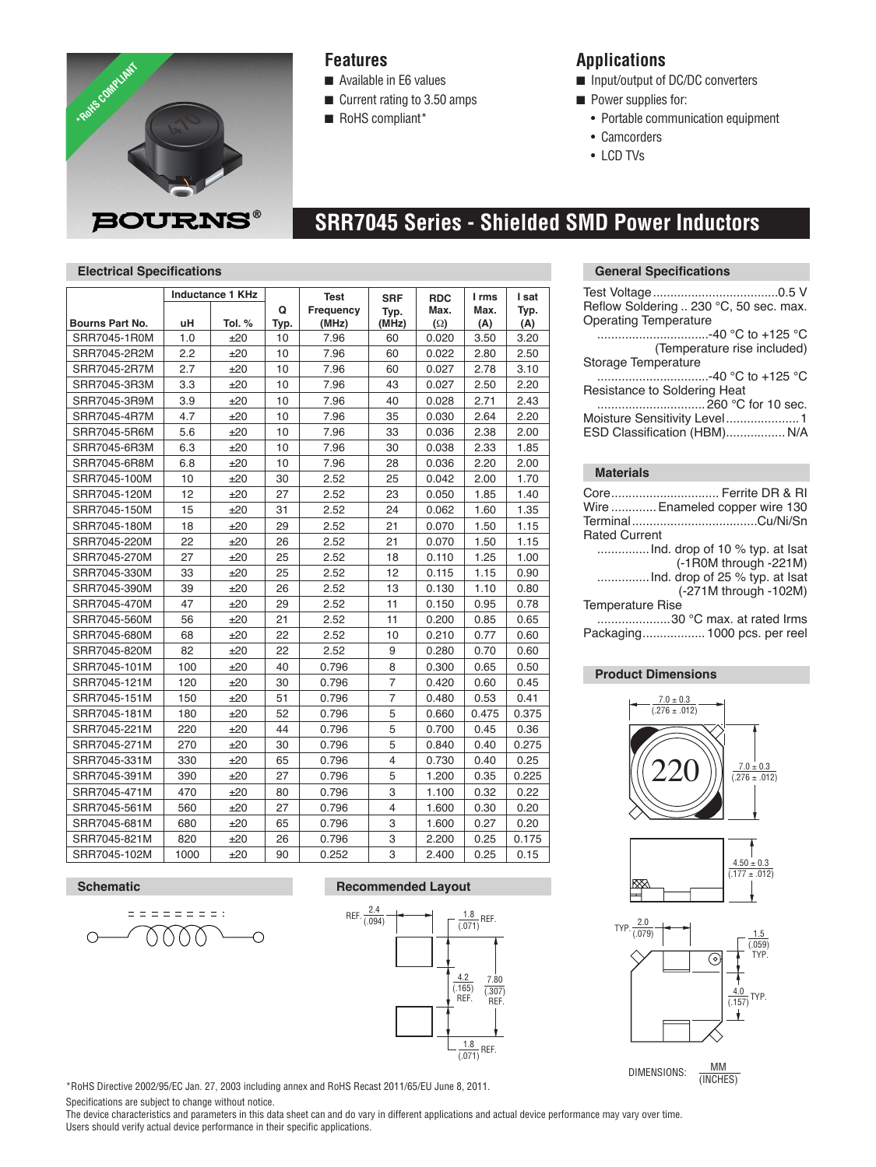

## **Features**

- $\blacksquare$  Available in E6 values
- $\blacksquare$  Current rating to 3.50 amps
- RoHS compliant\*

# **Applications**

- no Input/output of DC/DC converters
- **n** Power supplies for:
	- Portable communication equipment
	- Camcorders
	- LCD TVs

# **SRR7045 Series - Shielded SMD Power Inductors**

### **Electrical Specifications**

|                 | <b>Inductance 1 KHz</b> |        |      | <b>Test</b> | <b>SRF</b>     | <b>RDC</b> | I rms | I sat |
|-----------------|-------------------------|--------|------|-------------|----------------|------------|-------|-------|
|                 |                         |        | Q    | Frequency   | Typ.           | Max.       | Max.  | Typ.  |
| Bourns Part No. | uH                      | Tol. % | Typ. | (MHz)       | (MHz)          | $(\Omega)$ | (A)   | (A)   |
| SRR7045-1R0M    | 1.0                     | ±20    | 10   | 7.96        | 60             | 0.020      | 3.50  | 3.20  |
| SRR7045-2R2M    | 2.2                     | ±20    | 10   | 7.96        | 60             | 0.022      | 2.80  | 2.50  |
| SRR7045-2R7M    | 2.7                     | ±20    | 10   | 7.96        | 60             | 0.027      | 2.78  | 3.10  |
| SRR7045-3R3M    | 3.3                     | ±20    | 10   | 7.96        | 43             | 0.027      | 2.50  | 2.20  |
| SRR7045-3R9M    | 3.9                     | ±20    | 10   | 7.96        | 40             | 0.028      | 2.71  | 2.43  |
| SRR7045-4R7M    | 4.7                     | ±20    | 10   | 7.96        | 35             | 0.030      | 2.64  | 2.20  |
| SRR7045-5R6M    | 5.6                     | ±20    | 10   | 7.96        | 33             | 0.036      | 2.38  | 2.00  |
| SRR7045-6R3M    | 6.3                     | ±20    | 10   | 7.96        | 30             | 0.038      | 2.33  | 1.85  |
| SRR7045-6R8M    | 6.8                     | ±20    | 10   | 7.96        | 28             | 0.036      | 2.20  | 2.00  |
| SRR7045-100M    | 10                      | ±20    | 30   | 2.52        | 25             | 0.042      | 2.00  | 1.70  |
| SRR7045-120M    | 12                      | ±20    | 27   | 2.52        | 23             | 0.050      | 1.85  | 1.40  |
| SRR7045-150M    | 15                      | ±20    | 31   | 2.52        | 24             | 0.062      | 1.60  | 1.35  |
| SRR7045-180M    | 18                      | ±20    | 29   | 2.52        | 21             | 0.070      | 1.50  | 1.15  |
| SRR7045-220M    | 22                      | ±20    | 26   | 2.52        | 21             | 0.070      | 1.50  | 1.15  |
| SRR7045-270M    | 27                      | ±20    | 25   | 2.52        | 18             | 0.110      | 1.25  | 1.00  |
| SRR7045-330M    | 33                      | ±20    | 25   | 2.52        | 12             | 0.115      | 1.15  | 0.90  |
| SRR7045-390M    | 39                      | ±20    | 26   | 2.52        | 13             | 0.130      | 1.10  | 0.80  |
| SRR7045-470M    | 47                      | ±20    | 29   | 2.52        | 11             | 0.150      | 0.95  | 0.78  |
| SRR7045-560M    | 56                      | ±20    | 21   | 2.52        | 11             | 0.200      | 0.85  | 0.65  |
| SRR7045-680M    | 68                      | ±20    | 22   | 2.52        | 10             | 0.210      | 0.77  | 0.60  |
| SRR7045-820M    | 82                      | ±20    | 22   | 2.52        | 9              | 0.280      | 0.70  | 0.60  |
| SRR7045-101M    | 100                     | ±20    | 40   | 0.796       | 8              | 0.300      | 0.65  | 0.50  |
| SRR7045-121M    | 120                     | ±20    | 30   | 0.796       | $\overline{7}$ | 0.420      | 0.60  | 0.45  |
| SRR7045-151M    | 150                     | ±20    | 51   | 0.796       | $\overline{7}$ | 0.480      | 0.53  | 0.41  |
| SRR7045-181M    | 180                     | ±20    | 52   | 0.796       | 5              | 0.660      | 0.475 | 0.375 |
| SRR7045-221M    | 220                     | ±20    | 44   | 0.796       | 5              | 0.700      | 0.45  | 0.36  |
| SRR7045-271M    | 270                     | ±20    | 30   | 0.796       | 5              | 0.840      | 0.40  | 0.275 |
| SRR7045-331M    | 330                     | ±20    | 65   | 0.796       | 4              | 0.730      | 0.40  | 0.25  |
| SRR7045-391M    | 390                     | ±20    | 27   | 0.796       | 5              | 1.200      | 0.35  | 0.225 |
| SRR7045-471M    | 470                     | ±20    | 80   | 0.796       | 3              | 1.100      | 0.32  | 0.22  |
| SRR7045-561M    | 560                     | ±20    | 27   | 0.796       | $\overline{4}$ | 1.600      | 0.30  | 0.20  |
| SRR7045-681M    | 680                     | ±20    | 65   | 0.796       | 3              | 1.600      | 0.27  | 0.20  |
| SRR7045-821M    | 820                     | ±20    | 26   | 0.796       | 3              | 2.200      | 0.25  | 0.175 |
| SRR7045-102M    | 1000                    | ±20    | 90   | 0.252       | 3              | 2.400      | 0.25  | 0.15  |

#### **Schematic Recommended Layout**





\*RoHS Directive 2002/95/EC Jan. 27, 2003 including annex and RoHS Recast 2011/65/EU June 8, 2011.

Specifications are subject to change without notice.

The device characteristics and parameters in this data sheet can and do vary in different applications and actual device performance may vary over time. Users should verify actual device performance in their specific applications.

#### **General Specifications**

| Reflow Soldering  230 °C, 50 sec. max.<br><b>Operating Temperature</b> |
|------------------------------------------------------------------------|
| …………………………-40 °C to +125 °C                                            |
| (Temperature rise included)                                            |
| Storage Temperature                                                    |
| -40 °C to +125 °C                                                      |
| Resistance to Soldering Heat                                           |
|                                                                        |
| Moisture Sensitivity Level1                                            |
| ESD Classification (HBM) N/A                                           |
|                                                                        |
| <b>Materials</b>                                                       |

#### **Materials**

|                         | Core Ferrite DR & RI           |
|-------------------------|--------------------------------|
|                         | Wire  Enameled copper wire 130 |
|                         |                                |
| <b>Rated Current</b>    |                                |
|                         |                                |
|                         | (-1R0M through -221M)          |
|                         |                                |
|                         | (-271M through -102M)          |
| <b>Temperature Rise</b> |                                |
|                         | 30 °C max. at rated Irms       |
|                         | Packaging 1000 pcs. per reel   |
|                         |                                |

## **Product Dimensions**